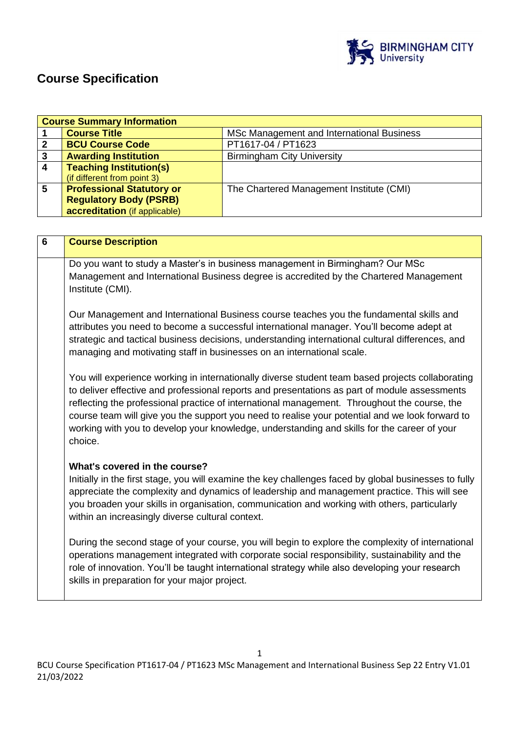

# **Course Specification**

|                         | <b>Course Summary Information</b>                                                                     |                                                                                                   |  |
|-------------------------|-------------------------------------------------------------------------------------------------------|---------------------------------------------------------------------------------------------------|--|
| 1                       | <b>Course Title</b>                                                                                   | MSc Management and International Business                                                         |  |
| $\boldsymbol{2}$        | <b>BCU Course Code</b>                                                                                | PT1617-04 / PT1623                                                                                |  |
| $\overline{\mathbf{3}}$ | <b>Awarding Institution</b>                                                                           | <b>Birmingham City University</b>                                                                 |  |
| $\overline{\mathbf{4}}$ | <b>Teaching Institution(s)</b>                                                                        |                                                                                                   |  |
|                         | (if different from point 3)                                                                           |                                                                                                   |  |
| 5                       | <b>Professional Statutory or</b>                                                                      | The Chartered Management Institute (CMI)                                                          |  |
|                         | <b>Regulatory Body (PSRB)</b>                                                                         |                                                                                                   |  |
|                         | accreditation (if applicable)                                                                         |                                                                                                   |  |
|                         |                                                                                                       |                                                                                                   |  |
| 6                       | <b>Course Description</b>                                                                             |                                                                                                   |  |
|                         |                                                                                                       |                                                                                                   |  |
|                         |                                                                                                       | Do you want to study a Master's in business management in Birmingham? Our MSc                     |  |
|                         |                                                                                                       |                                                                                                   |  |
|                         |                                                                                                       | Management and International Business degree is accredited by the Chartered Management            |  |
|                         | Institute (CMI).                                                                                      |                                                                                                   |  |
|                         |                                                                                                       |                                                                                                   |  |
|                         | Our Management and International Business course teaches you the fundamental skills and               |                                                                                                   |  |
|                         | attributes you need to become a successful international manager. You'll become adept at              |                                                                                                   |  |
|                         | strategic and tactical business decisions, understanding international cultural differences, and      |                                                                                                   |  |
|                         | managing and motivating staff in businesses on an international scale.                                |                                                                                                   |  |
|                         |                                                                                                       |                                                                                                   |  |
|                         | You will experience working in internationally diverse student team based projects collaborating      |                                                                                                   |  |
|                         | to deliver effective and professional reports and presentations as part of module assessments         |                                                                                                   |  |
|                         | reflecting the professional practice of international management. Throughout the course, the          |                                                                                                   |  |
|                         |                                                                                                       |                                                                                                   |  |
|                         | course team will give you the support you need to realise your potential and we look forward to       |                                                                                                   |  |
|                         | working with you to develop your knowledge, understanding and skills for the career of your           |                                                                                                   |  |
|                         | choice.                                                                                               |                                                                                                   |  |
|                         |                                                                                                       |                                                                                                   |  |
|                         | What's covered in the course?                                                                         |                                                                                                   |  |
|                         | Initially in the first stage, you will examine the key challenges faced by global businesses to fully |                                                                                                   |  |
|                         |                                                                                                       | appreciate the complexity and dynamics of leadership and management practice. This will see       |  |
|                         |                                                                                                       | you broaden your skills in organisation, communication and working with others, particularly      |  |
|                         | within an increasingly diverse cultural context.                                                      |                                                                                                   |  |
|                         |                                                                                                       |                                                                                                   |  |
|                         |                                                                                                       | During the second stage of your course, you will begin to explore the complexity of international |  |
|                         |                                                                                                       | operations management integrated with corporate social responsibility, sustainability and the     |  |
|                         |                                                                                                       | role of innovation. You'll be taught international strategy while also developing your research   |  |
|                         |                                                                                                       |                                                                                                   |  |
|                         | skills in preparation for your major project.                                                         |                                                                                                   |  |
|                         |                                                                                                       |                                                                                                   |  |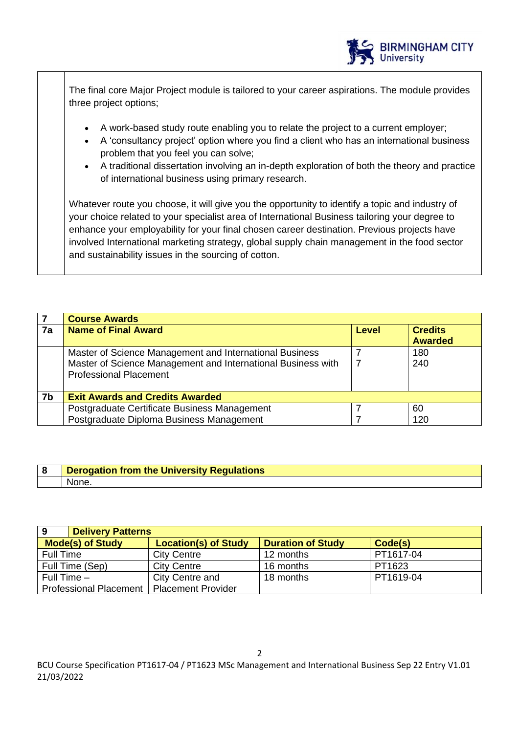

The final core Major Project module is tailored to your career aspirations. The module provides three project options;

- A work-based study route enabling you to relate the project to a current employer;
- A 'consultancy project' option where you find a client who has an international business problem that you feel you can solve;
- A traditional dissertation involving an in-depth exploration of both the theory and practice of international business using primary research.

Whatever route you choose, it will give you the opportunity to identify a topic and industry of your choice related to your specialist area of International Business tailoring your degree to enhance your employability for your final chosen career destination. Previous projects have involved International marketing strategy, global supply chain management in the food sector and sustainability issues in the sourcing of cotton.

|                | <b>Course Awards</b>                                                                                                                                     |       |                                  |
|----------------|----------------------------------------------------------------------------------------------------------------------------------------------------------|-------|----------------------------------|
| 7a             | <b>Name of Final Award</b>                                                                                                                               | Level | <b>Credits</b><br><b>Awarded</b> |
|                | Master of Science Management and International Business<br>Master of Science Management and International Business with<br><b>Professional Placement</b> |       | 180<br>240                       |
| 7 <sub>b</sub> | <b>Exit Awards and Credits Awarded</b>                                                                                                                   |       |                                  |
|                | Postgraduate Certificate Business Management                                                                                                             |       | 60                               |
|                | Postgraduate Diploma Business Management                                                                                                                 |       | 120                              |

| <b>Derogation from the University Regulations</b> |
|---------------------------------------------------|
| None.                                             |

| <b>Delivery Patterns</b><br>9 |                             |                          |           |
|-------------------------------|-----------------------------|--------------------------|-----------|
| <b>Mode(s) of Study</b>       | <b>Location(s) of Study</b> | <b>Duration of Study</b> | Code(s)   |
| Full Time                     | <b>City Centre</b>          | 12 months                | PT1617-04 |
| Full Time (Sep)               | <b>City Centre</b>          | 16 months                | PT1623    |
| Full Time $-$                 | City Centre and             | 18 months                | PT1619-04 |
| <b>Professional Placement</b> | <b>Placement Provider</b>   |                          |           |

BCU Course Specification PT1617-04 / PT1623 MSc Management and International Business Sep 22 Entry V1.01 21/03/2022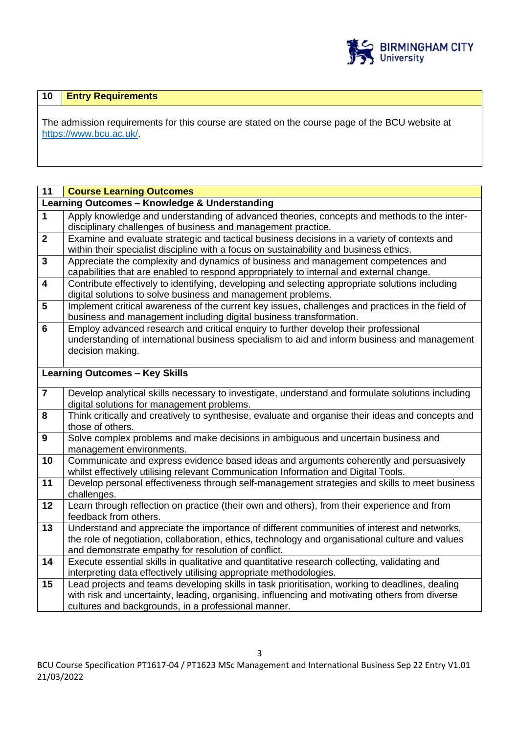

# **10 Entry Requirements**

The admission requirements for this course are stated on the course page of the BCU website at [https://www.bcu.ac.uk/.](https://www.bcu.ac.uk/)

| 11                      | <b>Course Learning Outcomes</b>                                                                                                                                                                                                                          |
|-------------------------|----------------------------------------------------------------------------------------------------------------------------------------------------------------------------------------------------------------------------------------------------------|
|                         | Learning Outcomes - Knowledge & Understanding                                                                                                                                                                                                            |
| $\mathbf 1$             | Apply knowledge and understanding of advanced theories, concepts and methods to the inter-                                                                                                                                                               |
|                         | disciplinary challenges of business and management practice.                                                                                                                                                                                             |
| $\overline{2}$          | Examine and evaluate strategic and tactical business decisions in a variety of contexts and<br>within their specialist discipline with a focus on sustainability and business ethics.                                                                    |
| $\mathbf{3}$            | Appreciate the complexity and dynamics of business and management competences and<br>capabilities that are enabled to respond appropriately to internal and external change.                                                                             |
| $\overline{\mathbf{4}}$ | Contribute effectively to identifying, developing and selecting appropriate solutions including<br>digital solutions to solve business and management problems.                                                                                          |
| 5                       | Implement critical awareness of the current key issues, challenges and practices in the field of<br>business and management including digital business transformation.                                                                                   |
| $6\phantom{1}6$         | Employ advanced research and critical enquiry to further develop their professional<br>understanding of international business specialism to aid and inform business and management<br>decision making.                                                  |
|                         | <b>Learning Outcomes - Key Skills</b>                                                                                                                                                                                                                    |
| $\overline{7}$          | Develop analytical skills necessary to investigate, understand and formulate solutions including<br>digital solutions for management problems.                                                                                                           |
| 8                       | Think critically and creatively to synthesise, evaluate and organise their ideas and concepts and<br>those of others.                                                                                                                                    |
| $\boldsymbol{9}$        | Solve complex problems and make decisions in ambiguous and uncertain business and<br>management environments.                                                                                                                                            |
| 10                      | Communicate and express evidence based ideas and arguments coherently and persuasively<br>whilst effectively utilising relevant Communication Information and Digital Tools.                                                                             |
| 11                      | Develop personal effectiveness through self-management strategies and skills to meet business<br>challenges.                                                                                                                                             |
| 12                      | Learn through reflection on practice (their own and others), from their experience and from<br>feedback from others.                                                                                                                                     |
| 13                      | Understand and appreciate the importance of different communities of interest and networks,<br>the role of negotiation, collaboration, ethics, technology and organisational culture and values<br>and demonstrate empathy for resolution of conflict.   |
| 14                      | Execute essential skills in qualitative and quantitative research collecting, validating and<br>interpreting data effectively utilising appropriate methodologies.                                                                                       |
| 15                      | Lead projects and teams developing skills in task prioritisation, working to deadlines, dealing<br>with risk and uncertainty, leading, organising, influencing and motivating others from diverse<br>cultures and backgrounds, in a professional manner. |

BCU Course Specification PT1617-04 / PT1623 MSc Management and International Business Sep 22 Entry V1.01 21/03/2022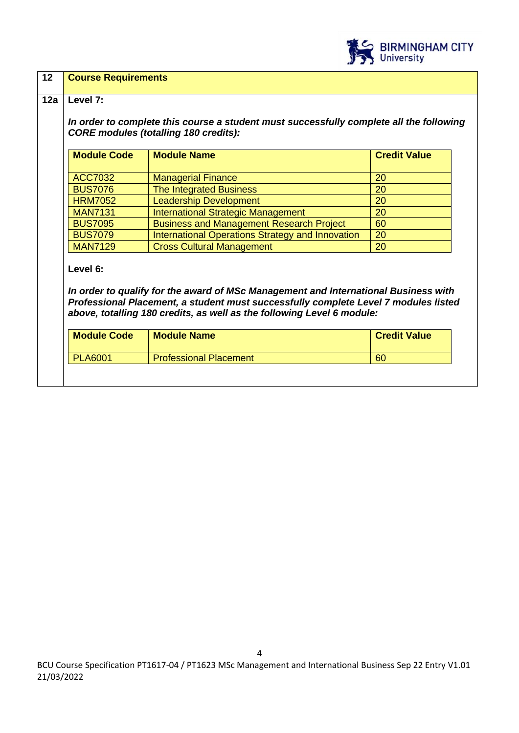

# **12 Course Requirements**

# **12a Level 7:**

*In order to complete this course a student must successfully complete all the following CORE modules (totalling 180 credits):*

| <b>Module Code</b> | <b>Module Name</b>                               | <b>Credit Value</b> |
|--------------------|--------------------------------------------------|---------------------|
|                    |                                                  |                     |
| <b>ACC7032</b>     | <b>Managerial Finance</b>                        | 20                  |
| <b>BUS7076</b>     | <b>The Integrated Business</b>                   | 20                  |
| <b>HRM7052</b>     | <b>Leadership Development</b>                    | 20                  |
| <b>MAN7131</b>     | <b>International Strategic Management</b>        | 20                  |
| <b>BUS7095</b>     | <b>Business and Management Research Project</b>  | 60                  |
| <b>BUS7079</b>     | International Operations Strategy and Innovation | 20                  |
| <b>MAN7129</b>     | <b>Cross Cultural Management</b>                 | 20                  |

**Level 6:**

*In order to qualify for the award of MSc Management and International Business with Professional Placement, a student must successfully complete Level 7 modules listed above, totalling 180 credits, as well as the following Level 6 module:*

| 60<br><b>PLA6001</b><br><b>Professional Placement</b> |  |
|-------------------------------------------------------|--|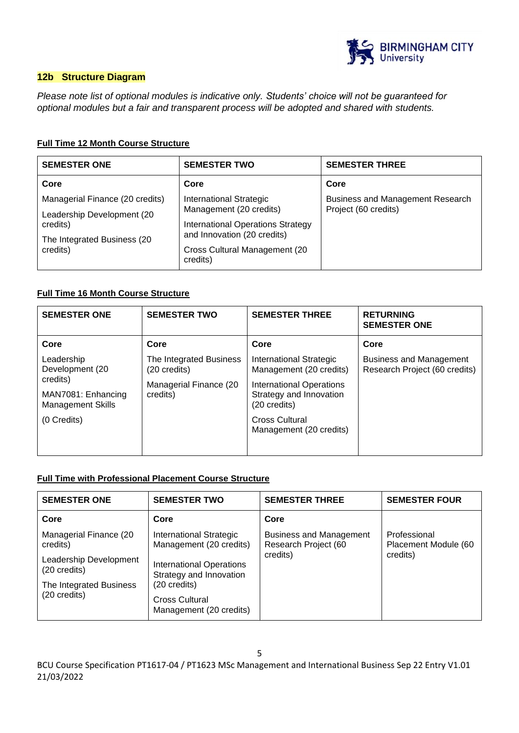

# **12b Structure Diagram**

*Please note list of optional modules is indicative only. Students' choice will not be guaranteed for optional modules but a fair and transparent process will be adopted and shared with students.*

# **Full Time 12 Month Course Structure**

| <b>SEMESTER ONE</b>             | <b>SEMESTER TWO</b>                       | <b>SEMESTER THREE</b>                   |
|---------------------------------|-------------------------------------------|-----------------------------------------|
| Core                            | Core                                      | Core                                    |
| Managerial Finance (20 credits) | <b>International Strategic</b>            | <b>Business and Management Research</b> |
| Leadership Development (20)     | Management (20 credits)                   | Project (60 credits)                    |
| credits)                        | International Operations Strategy         |                                         |
| The Integrated Business (20     | and Innovation (20 credits)               |                                         |
| credits)                        | Cross Cultural Management (20<br>credits) |                                         |

# **Full Time 16 Month Course Structure**

| <b>SEMESTER ONE</b>                                        | <b>SEMESTER TWO</b>                     | <b>SEMESTER THREE</b>                                                      | <b>RETURNING</b><br><b>SEMESTER ONE</b>                         |
|------------------------------------------------------------|-----------------------------------------|----------------------------------------------------------------------------|-----------------------------------------------------------------|
| Core                                                       | Core                                    | Core                                                                       | Core                                                            |
| Leadership<br>Development (20                              | The Integrated Business<br>(20 credits) | International Strategic<br>Management (20 credits)                         | <b>Business and Management</b><br>Research Project (60 credits) |
| credits)<br>MAN7081: Enhancing<br><b>Management Skills</b> | Managerial Finance (20<br>credits)      | <b>International Operations</b><br>Strategy and Innovation<br>(20 credits) |                                                                 |
| (0 Credits)                                                |                                         | <b>Cross Cultural</b><br>Management (20 credits)                           |                                                                 |
|                                                            |                                         |                                                                            |                                                                 |

#### **Full Time with Professional Placement Course Structure**

| <b>SEMESTER ONE</b>                                               | <b>SEMESTER TWO</b>                                                        | <b>SEMESTER THREE</b>                                  | <b>SEMESTER FOUR</b>                 |
|-------------------------------------------------------------------|----------------------------------------------------------------------------|--------------------------------------------------------|--------------------------------------|
| Core                                                              | Core                                                                       | Core                                                   |                                      |
| Managerial Finance (20<br>credits)                                | <b>International Strategic</b><br>Management (20 credits)                  | <b>Business and Management</b><br>Research Project (60 | Professional<br>Placement Module (60 |
| Leadership Development<br>(20 credits)<br>The Integrated Business | <b>International Operations</b><br>Strategy and Innovation<br>(20 credits) | credits)                                               | credits)                             |
| (20 credits)                                                      | Cross Cultural<br>Management (20 credits)                                  |                                                        |                                      |

BCU Course Specification PT1617-04 / PT1623 MSc Management and International Business Sep 22 Entry V1.01 21/03/2022